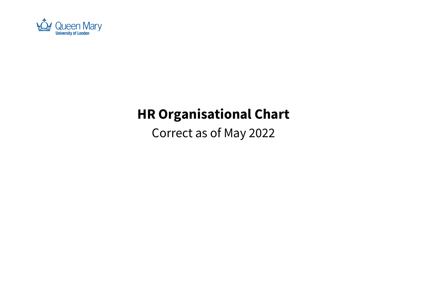

# HR Organisational Chart

Correct as of May 2022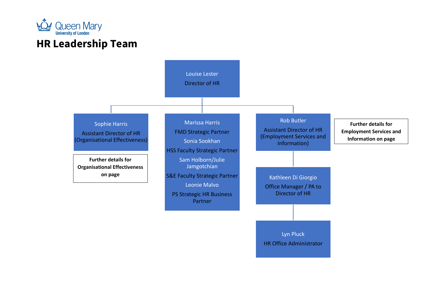

# HR Leadership Team

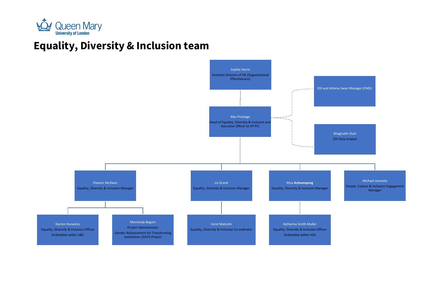

#### Equality, Diversity & Inclusion team

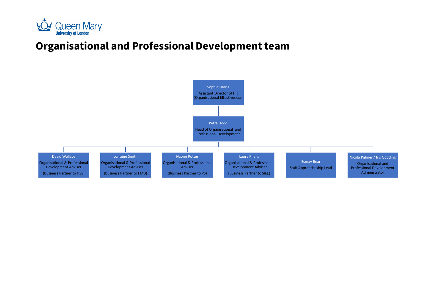

# Organisational and Professional Development team

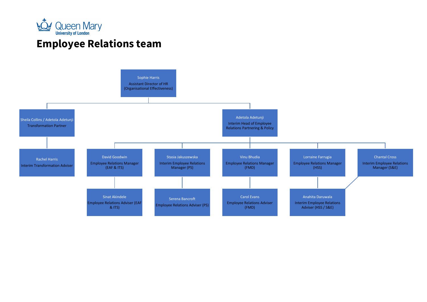

# Employee Relations team